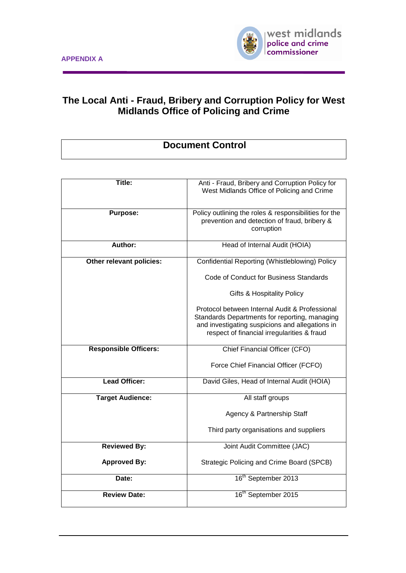

# **The Local Anti - Fraud, Bribery and Corruption Policy for West Midlands Office of Policing and Crime**

# **Document Control**

| Title:                       | Anti - Fraud, Bribery and Corruption Policy for<br>West Midlands Office of Policing and Crime                                                                                                     |
|------------------------------|---------------------------------------------------------------------------------------------------------------------------------------------------------------------------------------------------|
| <b>Purpose:</b>              | Policy outlining the roles & responsibilities for the<br>prevention and detection of fraud, bribery &<br>corruption                                                                               |
| Author:                      | Head of Internal Audit (HOIA)                                                                                                                                                                     |
| Other relevant policies:     | Confidential Reporting (Whistleblowing) Policy                                                                                                                                                    |
|                              | Code of Conduct for Business Standards                                                                                                                                                            |
|                              | <b>Gifts &amp; Hospitality Policy</b>                                                                                                                                                             |
|                              | Protocol between Internal Audit & Professional<br>Standards Departments for reporting, managing<br>and investigating suspicions and allegations in<br>respect of financial irregularities & fraud |
| <b>Responsible Officers:</b> | Chief Financial Officer (CFO)                                                                                                                                                                     |
|                              | Force Chief Financial Officer (FCFO)                                                                                                                                                              |
| <b>Lead Officer:</b>         | David Giles, Head of Internal Audit (HOIA)                                                                                                                                                        |
| <b>Target Audience:</b>      | All staff groups                                                                                                                                                                                  |
|                              | Agency & Partnership Staff                                                                                                                                                                        |
|                              | Third party organisations and suppliers                                                                                                                                                           |
| Reviewed By:                 | Joint Audit Committee (JAC)                                                                                                                                                                       |
| <b>Approved By:</b>          | Strategic Policing and Crime Board (SPCB)                                                                                                                                                         |
| Date:                        | 16 <sup>th</sup> September 2013                                                                                                                                                                   |
| <b>Review Date:</b>          | 16 <sup>th</sup> September 2015                                                                                                                                                                   |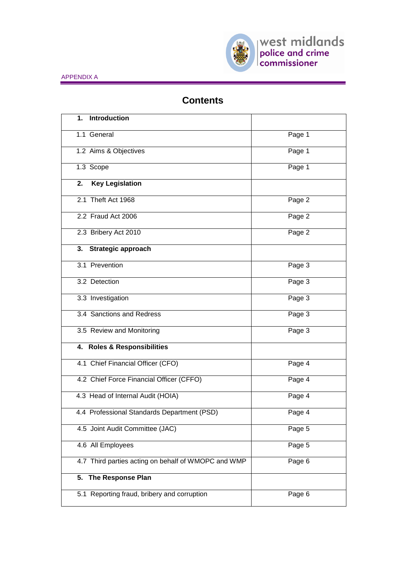

# **Contents**

| <b>Introduction</b><br>1.                           |        |
|-----------------------------------------------------|--------|
| 1.1 General                                         | Page 1 |
| 1.2 Aims & Objectives                               | Page 1 |
| 1.3 Scope                                           | Page 1 |
| <b>Key Legislation</b><br>2.                        |        |
| 2.1 Theft Act 1968                                  | Page 2 |
| 2.2 Fraud Act 2006                                  | Page 2 |
| 2.3 Bribery Act 2010                                | Page 2 |
| 3. Strategic approach                               |        |
| 3.1 Prevention                                      | Page 3 |
| 3.2 Detection                                       | Page 3 |
| 3.3 Investigation                                   | Page 3 |
| 3.4 Sanctions and Redress                           | Page 3 |
| 3.5 Review and Monitoring                           | Page 3 |
| 4. Roles & Responsibilities                         |        |
| 4.1 Chief Financial Officer (CFO)                   | Page 4 |
| 4.2 Chief Force Financial Officer (CFFO)            | Page 4 |
| 4.3 Head of Internal Audit (HOIA)                   | Page 4 |
| 4.4 Professional Standards Department (PSD)         | Page 4 |
| 4.5 Joint Audit Committee (JAC)                     | Page 5 |
| 4.6 All Employees                                   | Page 5 |
| 4.7 Third parties acting on behalf of WMOPC and WMP | Page 6 |
| 5. The Response Plan                                |        |
| 5.1 Reporting fraud, bribery and corruption         | Page 6 |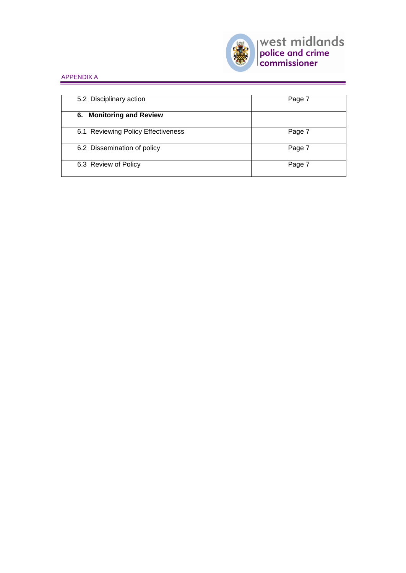

| 5.2 Disciplinary action            | Page 7 |
|------------------------------------|--------|
| 6. Monitoring and Review           |        |
| 6.1 Reviewing Policy Effectiveness | Page 7 |
| 6.2 Dissemination of policy        | Page 7 |
| 6.3 Review of Policy               | Page 7 |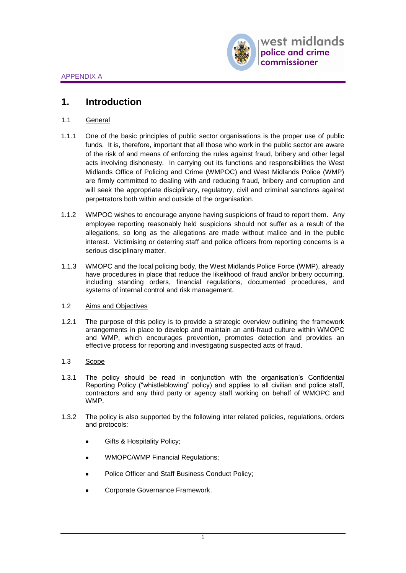# **1. Introduction**

- 1.1 General
- 1.1.1 One of the basic principles of public sector organisations is the proper use of public funds. It is, therefore, important that all those who work in the public sector are aware of the risk of and means of enforcing the rules against fraud, bribery and other legal acts involving dishonesty. In carrying out its functions and responsibilities the West Midlands Office of Policing and Crime (WMPOC) and West Midlands Police (WMP) are firmly committed to dealing with and reducing fraud, bribery and corruption and will seek the appropriate disciplinary, regulatory, civil and criminal sanctions against perpetrators both within and outside of the organisation.
- 1.1.2 WMPOC wishes to encourage anyone having suspicions of fraud to report them. Any employee reporting reasonably held suspicions should not suffer as a result of the allegations, so long as the allegations are made without malice and in the public interest. Victimising or deterring staff and police officers from reporting concerns is a serious disciplinary matter.
- 1.1.3 WMOPC and the local policing body, the West Midlands Police Force (WMP), already have procedures in place that reduce the likelihood of fraud and/or bribery occurring, including standing orders, financial regulations, documented procedures, and systems of internal control and risk management.

## 1.2 Aims and Objectives

1.2.1 The purpose of this policy is to provide a strategic overview outlining the framework arrangements in place to develop and maintain an anti-fraud culture within WMOPC and WMP, which encourages prevention, promotes detection and provides an effective process for reporting and investigating suspected acts of fraud.

## 1.3 Scope

- 1.3.1 The policy should be read in conjunction with the organisation's Confidential Reporting Policy ("whistleblowing" policy) and applies to all civilian and police staff, contractors and any third party or agency staff working on behalf of WMOPC and WMP.
- 1.3.2 The policy is also supported by the following inter related policies, regulations, orders and protocols:
	- Gifts & Hospitality Policy;
	- WMOPC/WMP Financial Regulations;
	- Police Officer and Staff Business Conduct Policy;
	- Corporate Governance Framework.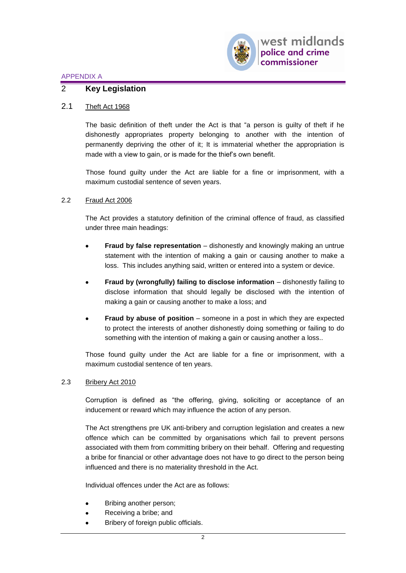

## 2 **Key Legislation**

### 2.1 Theft Act 1968

The basic definition of theft under the Act is that "a person is guilty of theft if he dishonestly appropriates property belonging to another with the intention of permanently depriving the other of it; It is immaterial whether the appropriation is made with a view to gain, or is made for the thief's own benefit.

Those found guilty under the Act are liable for a fine or imprisonment, with a maximum custodial sentence of seven years.

#### 2.2 Fraud Act 2006

The Act provides a statutory definition of the criminal offence of fraud, as classified under three main headings:

- **Fraud by false representation** dishonestly and knowingly making an untrue statement with the intention of making a gain or causing another to make a loss. This includes anything said, written or entered into a system or device.
- **Fraud by (wrongfully) failing to disclose information** dishonestly failing to disclose information that should legally be disclosed with the intention of making a gain or causing another to make a loss; and
- **Fraud by abuse of position** someone in a post in which they are expected to protect the interests of another dishonestly doing something or failing to do something with the intention of making a gain or causing another a loss..

Those found guilty under the Act are liable for a fine or imprisonment, with a maximum custodial sentence of ten years.

#### 2.3 Bribery Act 2010

Corruption is defined as "the offering, giving, soliciting or acceptance of an inducement or reward which may influence the action of any person.

The Act strengthens pre UK anti-bribery and corruption legislation and creates a new offence which can be committed by organisations which fail to prevent persons associated with them from committing bribery on their behalf. Offering and requesting a bribe for financial or other advantage does not have to go direct to the person being influenced and there is no materiality threshold in the Act.

Individual offences under the Act are as follows:

- Bribing another person;
- Receiving a bribe; and
- Bribery of foreign public officials.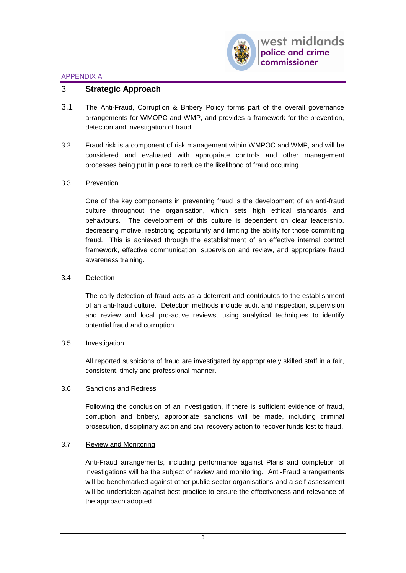

## 3 **Strategic Approach**

- 3.1 The Anti-Fraud, Corruption & Bribery Policy forms part of the overall governance arrangements for WMOPC and WMP, and provides a framework for the prevention, detection and investigation of fraud.
- 3.2 Fraud risk is a component of risk management within WMPOC and WMP, and will be considered and evaluated with appropriate controls and other management processes being put in place to reduce the likelihood of fraud occurring.

## 3.3 Prevention

One of the key components in preventing fraud is the development of an anti-fraud culture throughout the organisation, which sets high ethical standards and behaviours. The development of this culture is dependent on clear leadership, decreasing motive, restricting opportunity and limiting the ability for those committing fraud. This is achieved through the establishment of an effective internal control framework, effective communication, supervision and review, and appropriate fraud awareness training.

### 3.4 Detection

The early detection of fraud acts as a deterrent and contributes to the establishment of an anti-fraud culture. Detection methods include audit and inspection, supervision and review and local pro-active reviews, using analytical techniques to identify potential fraud and corruption.

#### 3.5 Investigation

All reported suspicions of fraud are investigated by appropriately skilled staff in a fair, consistent, timely and professional manner.

## 3.6 Sanctions and Redress

Following the conclusion of an investigation, if there is sufficient evidence of fraud, corruption and bribery, appropriate sanctions will be made, including criminal prosecution, disciplinary action and civil recovery action to recover funds lost to fraud.

## 3.7 Review and Monitoring

Anti-Fraud arrangements, including performance against Plans and completion of investigations will be the subject of review and monitoring. Anti-Fraud arrangements will be benchmarked against other public sector organisations and a self-assessment will be undertaken against best practice to ensure the effectiveness and relevance of the approach adopted.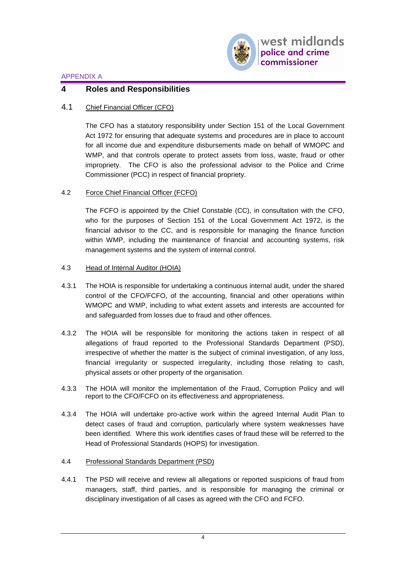

## **4 Roles and Responsibilities**

## 4.1 Chief Financial Officer (CFO)

The CFO has a statutory responsibility under Section 151 of the Local Government Act 1972 for ensuring that adequate systems and procedures are in place to account for all income due and expenditure disbursements made on behalf of WMOPC and WMP, and that controls operate to protect assets from loss, waste, fraud or other impropriety. The CFO is also the professional advisor to the Police and Crime Commissioner (PCC) in respect of financial propriety.

## 4.2 Force Chief Financial Officer (FCFO)

The FCFO is appointed by the Chief Constable (CC), in consultation with the CFO, who for the purposes of Section 151 of the Local Government Act 1972, is the financial advisor to the CC, and is responsible for managing the finance function within WMP, including the maintenance of financial and accounting systems, risk management systems and the system of internal control.

#### 4.3 Head of Internal Auditor (HOIA)

- 4.3.1 The HOIA is responsible for undertaking a continuous internal audit, under the shared control of the CFO/FCFO, of the accounting, financial and other operations within WMOPC and WMP, including to what extent assets and interests are accounted for and safeguarded from losses due to fraud and other offences.
- 4.3.2 The HOIA will be responsible for monitoring the actions taken in respect of all allegations of fraud reported to the Professional Standards Department (PSD), irrespective of whether the matter is the subject of criminal investigation, of any loss, financial irregularity or suspected irregularity, including those relating to cash, physical assets or other property of the organisation.
- 4.3.3 The HOIA will monitor the implementation of the Fraud, Corruption Policy and will report to the CFO/FCFO on its effectiveness and appropriateness.
- 4.3.4 The HOIA will undertake pro-active work within the agreed Internal Audit Plan to detect cases of fraud and corruption, particularly where system weaknesses have been identified. Where this work identifies cases of fraud these will be referred to the Head of Professional Standards (HOPS) for investigation.

## 4.4 Professional Standards Department (PSD)

4.4.1 The PSD will receive and review all allegations or reported suspicions of fraud from managers, staff, third parties, and is responsible for managing the criminal or disciplinary investigation of all cases as agreed with the CFO and FCFO.

4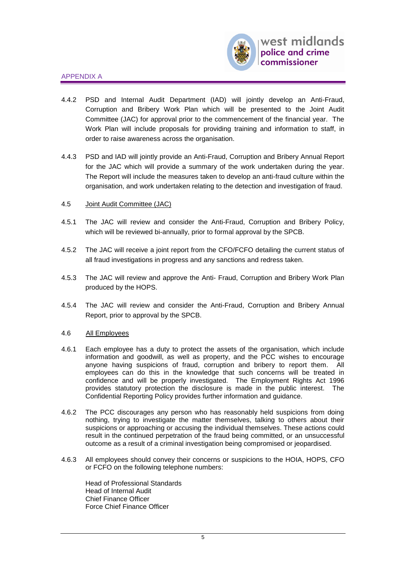

- 4.4.2 PSD and Internal Audit Department (IAD) will jointly develop an Anti-Fraud, Corruption and Bribery Work Plan which will be presented to the Joint Audit Committee (JAC) for approval prior to the commencement of the financial year. The Work Plan will include proposals for providing training and information to staff, in order to raise awareness across the organisation.
- 4.4.3 PSD and IAD will jointly provide an Anti-Fraud, Corruption and Bribery Annual Report for the JAC which will provide a summary of the work undertaken during the year. The Report will include the measures taken to develop an anti-fraud culture within the organisation, and work undertaken relating to the detection and investigation of fraud.
- 4.5 Joint Audit Committee (JAC)
- 4.5.1 The JAC will review and consider the Anti-Fraud, Corruption and Bribery Policy, which will be reviewed bi-annually, prior to formal approval by the SPCB.
- 4.5.2 The JAC will receive a joint report from the CFO/FCFO detailing the current status of all fraud investigations in progress and any sanctions and redress taken.
- 4.5.3 The JAC will review and approve the Anti- Fraud, Corruption and Bribery Work Plan produced by the HOPS.
- 4.5.4 The JAC will review and consider the Anti-Fraud, Corruption and Bribery Annual Report, prior to approval by the SPCB.

#### 4.6 All Employees

- 4.6.1 Each employee has a duty to protect the assets of the organisation, which include information and goodwill, as well as property, and the PCC wishes to encourage anyone having suspicions of fraud, corruption and bribery to report them. All employees can do this in the knowledge that such concerns will be treated in confidence and will be properly investigated. The Employment Rights Act 1996 provides statutory protection the disclosure is made in the public interest. The Confidential Reporting Policy provides further information and guidance.
- 4.6.2 The PCC discourages any person who has reasonably held suspicions from doing nothing, trying to investigate the matter themselves, talking to others about their suspicions or approaching or accusing the individual themselves. These actions could result in the continued perpetration of the fraud being committed, or an unsuccessful outcome as a result of a criminal investigation being compromised or jeopardised.
- 4.6.3 All employees should convey their concerns or suspicions to the HOIA, HOPS, CFO or FCFO on the following telephone numbers:

Head of Professional Standards Head of Internal Audit Chief Finance Officer Force Chief Finance Officer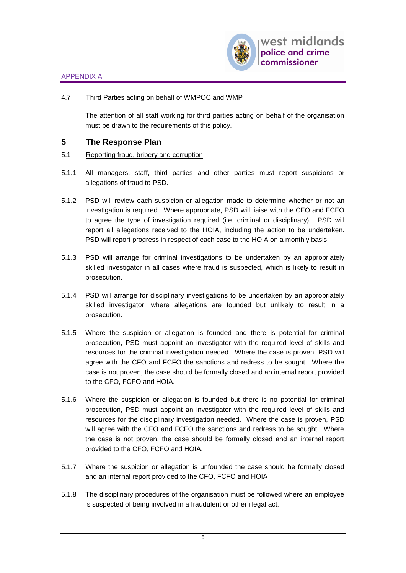

## 4.7 Third Parties acting on behalf of WMPOC and WMP

The attention of all staff working for third parties acting on behalf of the organisation must be drawn to the requirements of this policy.

## **5 The Response Plan**

- 5.1 Reporting fraud, bribery and corruption
- 5.1.1 All managers, staff, third parties and other parties must report suspicions or allegations of fraud to PSD.
- 5.1.2 PSD will review each suspicion or allegation made to determine whether or not an investigation is required. Where appropriate, PSD will liaise with the CFO and FCFO to agree the type of investigation required (i.e. criminal or disciplinary). PSD will report all allegations received to the HOIA, including the action to be undertaken. PSD will report progress in respect of each case to the HOIA on a monthly basis.
- 5.1.3 PSD will arrange for criminal investigations to be undertaken by an appropriately skilled investigator in all cases where fraud is suspected, which is likely to result in prosecution.
- 5.1.4 PSD will arrange for disciplinary investigations to be undertaken by an appropriately skilled investigator, where allegations are founded but unlikely to result in a prosecution.
- 5.1.5 Where the suspicion or allegation is founded and there is potential for criminal prosecution, PSD must appoint an investigator with the required level of skills and resources for the criminal investigation needed. Where the case is proven, PSD will agree with the CFO and FCFO the sanctions and redress to be sought. Where the case is not proven, the case should be formally closed and an internal report provided to the CFO, FCFO and HOIA.
- 5.1.6 Where the suspicion or allegation is founded but there is no potential for criminal prosecution, PSD must appoint an investigator with the required level of skills and resources for the disciplinary investigation needed. Where the case is proven, PSD will agree with the CFO and FCFO the sanctions and redress to be sought. Where the case is not proven, the case should be formally closed and an internal report provided to the CFO, FCFO and HOIA.
- 5.1.7 Where the suspicion or allegation is unfounded the case should be formally closed and an internal report provided to the CFO, FCFO and HOIA
- 5.1.8 The disciplinary procedures of the organisation must be followed where an employee is suspected of being involved in a fraudulent or other illegal act.